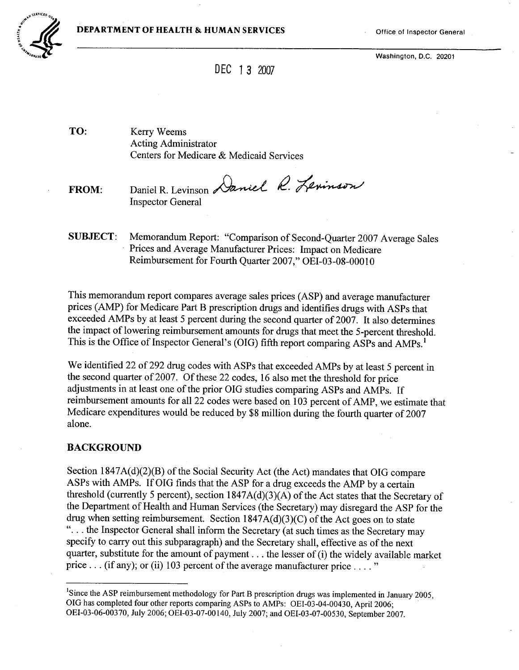

Washington, D.C. 20201

# DEC 13 2007

TO: Kerry Weems Acting Administrator Centers for Medicare & Medicaid Services

FROM: Daniel R. Levinson Daniel R. Levinson Inspector General

SUBJECT: Memorandum Report: "Comparison of Second-Quarter 2007 Average Sales Prices and Average Manufacturer Prices: Impact on Medicare Reimbursement for Fourth Quarter 2007," OEI-03-08-00010

This memorandum report compares average sales prices (ASP) and average manufacturer prices (AMP) for Medicare Part B prescription drugs and identifies drugs with ASPs that exceeded AMPs by at least 5 percent during the second quarter of 2007. It also determines the impact of lowering reimbursement amounts for drugs that meet the 5-percent threshold. This is the Office of Inspector General's (OIG) fifth report comparing ASPs and AMPs.<sup>1</sup>

We identified 22 of 292 drug codes with ASPs that exceeded AMPs by at least 5 percent in the second quarter of 2007. Of these 22 codes, 16 also met the threshold for price adjustments in at least one of the prior OIG studies comparing ASPs and AMPs. If reimbursement amounts for all 22 codes were based on 103 percent of AMP, we estimate that Medicare expenditures would be reduced by \$8 milion during the fourth quarter of 2007 alone.

#### BACKGROUND

Section 1847A(d)(2)(B) of the Social Security Act (the Act) mandates that OIG compare ASPs with AMPs. IfOIG finds that the ASP for a drug exceeds the AMP by a certain threshold (currently 5 percent), section 1847A(d)(3)(A) of the Act states that the Secretary of the Department of Health and Human Services (the Secretary) may disregard the ASP for the drug when setting reimbursement. Section 1847A(d)(3)(C) of the Act goes on to state ". . . the Inspector General shall inform the Secretary (at such times as the Secretary may specify to carry out this subparagraph) and the Secretary shall, effective as of the next quarter, substitute for the amount of payment. . . the lesser of (i) the widely available market price... (if any); or (ii) 103 percent of the average manufacturer price...."

<sup>&</sup>lt;sup>1</sup>Since the ASP reimbursement methodology for Part B prescription drugs was implemented in January 2005, OIG has completed four other reports comparing ASPs to AMPs: OEI-03-04-00430, April 2006; OEI-03-06-00370, July 2006; OEI-03-07-00 140, July 2007; and OEI-03-07-00530, September 2007.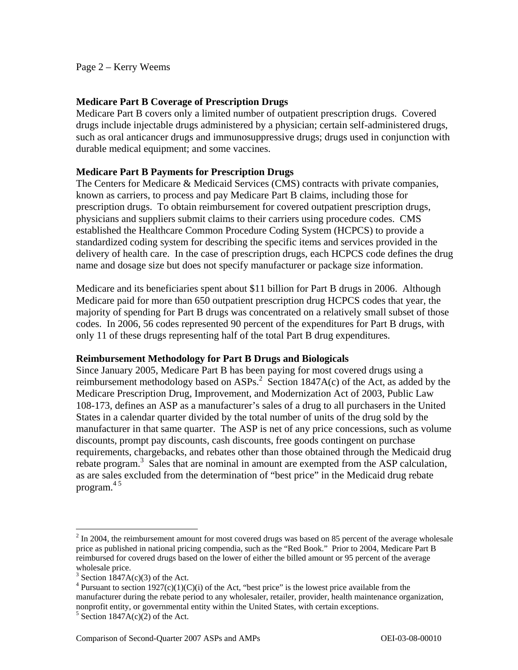Page 2 – Kerry Weems

### **Medicare Part B Coverage of Prescription Drugs**

Medicare Part B covers only a limited number of outpatient prescription drugs. Covered drugs include injectable drugs administered by a physician; certain self-administered drugs, such as oral anticancer drugs and immunosuppressive drugs; drugs used in conjunction with durable medical equipment; and some vaccines.

### **Medicare Part B Payments for Prescription Drugs**

The Centers for Medicare & Medicaid Services (CMS) contracts with private companies, known as carriers, to process and pay Medicare Part B claims, including those for prescription drugs. To obtain reimbursement for covered outpatient prescription drugs, physicians and suppliers submit claims to their carriers using procedure codes. CMS established the Healthcare Common Procedure Coding System (HCPCS) to provide a standardized coding system for describing the specific items and services provided in the delivery of health care. In the case of prescription drugs, each HCPCS code defines the drug name and dosage size but does not specify manufacturer or package size information.

Medicare and its beneficiaries spent about \$11 billion for Part B drugs in 2006. Although Medicare paid for more than 650 outpatient prescription drug HCPCS codes that year, the majority of spending for Part B drugs was concentrated on a relatively small subset of those codes. In 2006, 56 codes represented 90 percent of the expenditures for Part B drugs, with only 11 of these drugs representing half of the total Part B drug expenditures.

#### **Reimbursement Methodology for Part B Drugs and Biologicals**

Since January 2005, Medicare Part B has been paying for most covered drugs using a reimbursement methodology based on  $ASPs<sup>2</sup>$ . Section 1847A(c) of the Act, as added by the Medicare Prescription Drug, Improvement, and Modernization Act of 2003, Public Law 108-173, defines an ASP as a manufacturer's sales of a drug to all purchasers in the United States in a calendar quarter divided by the total number of units of the drug sold by the manufacturer in that same quarter. The ASP is net of any price concessions, such as volume discounts, prompt pay discounts, cash discounts, free goods contingent on purchase requirements, chargebacks, and rebates other than those obtained through the Medicaid drug rebate program.<sup>3</sup> Sales that are nominal in amount are exempted from the ASP calculation, as are sales excluded from the determination of "best price" in the Medicaid drug rebate program. $45$ 

 $\overline{a}$ 

 reimbursed for covered drugs based on the lower of either the billed amount or 95 percent of the average  $2 \text{ In } 2004$ , the reimbursement amount for most covered drugs was based on 85 percent of the average wholesale price as published in national pricing compendia, such as the "Red Book." Prior to 2004, Medicare Part B wholesale price.

 $3$  Section 1847A(c)(3) of the Act.

<sup>&</sup>lt;sup>4</sup> Pursuant to section 1927(c)(1)(C)(i) of the Act, "best price" is the lowest price available from the manufacturer during the rebate period to any wholesaler, retailer, provider, health maintenance organization, nonprofit entity, or governmental entity within the United States, with certain exceptions.

 $5$  Section 1847A(c)(2) of the Act.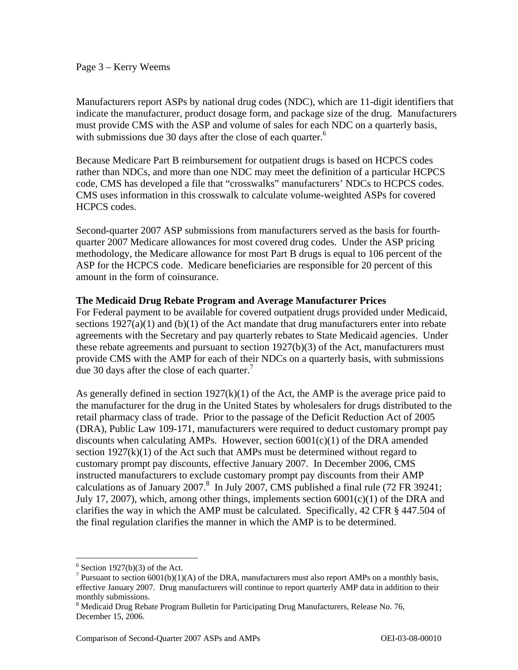#### Page 3 – Kerry Weems

Manufacturers report ASPs by national drug codes (NDC), which are 11-digit identifiers that indicate the manufacturer, product dosage form, and package size of the drug. Manufacturers must provide CMS with the ASP and volume of sales for each NDC on a quarterly basis, with submissions due 30 days after the close of each quarter.<sup>6</sup>

Because Medicare Part B reimbursement for outpatient drugs is based on HCPCS codes rather than NDCs, and more than one NDC may meet the definition of a particular HCPCS code, CMS has developed a file that "crosswalks" manufacturers' NDCs to HCPCS codes. CMS uses information in this crosswalk to calculate volume-weighted ASPs for covered HCPCS codes.

Second-quarter 2007 ASP submissions from manufacturers served as the basis for fourthquarter 2007 Medicare allowances for most covered drug codes. Under the ASP pricing methodology, the Medicare allowance for most Part B drugs is equal to 106 percent of the ASP for the HCPCS code. Medicare beneficiaries are responsible for 20 percent of this amount in the form of coinsurance.

### **The Medicaid Drug Rebate Program and Average Manufacturer Prices**

due 30 days after the close of each quarter.<sup>7</sup> For Federal payment to be available for covered outpatient drugs provided under Medicaid, sections  $1927(a)(1)$  and  $(b)(1)$  of the Act mandate that drug manufacturers enter into rebate agreements with the Secretary and pay quarterly rebates to State Medicaid agencies. Under these rebate agreements and pursuant to section 1927(b)(3) of the Act, manufacturers must provide CMS with the AMP for each of their NDCs on a quarterly basis, with submissions

As generally defined in section  $1927(k)(1)$  of the Act, the AMP is the average price paid to the manufacturer for the drug in the United States by wholesalers for drugs distributed to the retail pharmacy class of trade. Prior to the passage of the Deficit Reduction Act of 2005 (DRA), Public Law 109-171, manufacturers were required to deduct customary prompt pay discounts when calculating AMPs. However, section  $6001(c)(1)$  of the DRA amended section  $1927(k)(1)$  of the Act such that AMPs must be determined without regard to customary prompt pay discounts, effective January 2007. In December 2006, CMS instructed manufacturers to exclude customary prompt pay discounts from their AMP calculations as of January 2007.<sup>8</sup> In July 2007, CMS published a final rule (72 FR 39241; July 17, 2007), which, among other things, implements section  $6001(c)(1)$  of the DRA and clarifies the way in which the AMP must be calculated. Specifically, 42 CFR § 447.504 of the final regulation clarifies the manner in which the AMP is to be determined.

 $\overline{a}$ 

 $6$  Section 1927(b)(3) of the Act.

<sup>&</sup>lt;sup>7</sup> Pursuant to section  $6001(b)(1)(A)$  of the DRA, manufacturers must also report AMPs on a monthly basis, effective January 2007. Drug manufacturers will continue to report quarterly AMP data in addition to their monthly submissions.

<sup>&</sup>lt;sup>8</sup> Medicaid Drug Rebate Program Bulletin for Participating Drug Manufacturers, Release No. 76, December 15, 2006.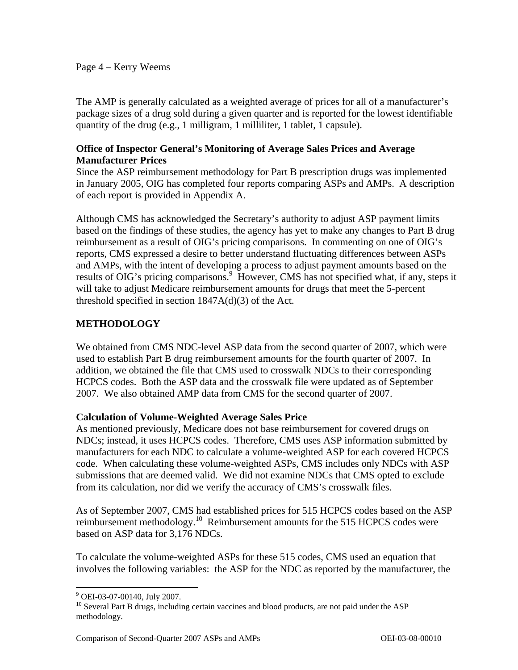#### Page 4 – Kerry Weems

The AMP is generally calculated as a weighted average of prices for all of a manufacturer's package sizes of a drug sold during a given quarter and is reported for the lowest identifiable quantity of the drug (e.g., 1 milligram, 1 milliliter, 1 tablet, 1 capsule).

### **Office of Inspector General's Monitoring of Average Sales Prices and Average Manufacturer Prices**

Since the ASP reimbursement methodology for Part B prescription drugs was implemented in January 2005, OIG has completed four reports comparing ASPs and AMPs. A description of each report is provided in Appendix A.

Although CMS has acknowledged the Secretary's authority to adjust ASP payment limits based on the findings of these studies, the agency has yet to make any changes to Part B drug reimbursement as a result of OIG's pricing comparisons. In commenting on one of OIG's reports, CMS expressed a desire to better understand fluctuating differences between ASPs and AMPs, with the intent of developing a process to adjust payment amounts based on the results of OIG's pricing comparisons.<sup>9</sup> However, CMS has not specified what, if any, steps it will take to adjust Medicare reimbursement amounts for drugs that meet the 5-percent threshold specified in section  $1847A(d)(3)$  of the Act.

## **METHODOLOGY**

We obtained from CMS NDC-level ASP data from the second quarter of 2007, which were used to establish Part B drug reimbursement amounts for the fourth quarter of 2007. In addition, we obtained the file that CMS used to crosswalk NDCs to their corresponding HCPCS codes. Both the ASP data and the crosswalk file were updated as of September 2007. We also obtained AMP data from CMS for the second quarter of 2007.

#### **Calculation of Volume-Weighted Average Sales Price**

As mentioned previously, Medicare does not base reimbursement for covered drugs on NDCs; instead, it uses HCPCS codes. Therefore, CMS uses ASP information submitted by manufacturers for each NDC to calculate a volume-weighted ASP for each covered HCPCS code. When calculating these volume-weighted ASPs, CMS includes only NDCs with ASP submissions that are deemed valid. We did not examine NDCs that CMS opted to exclude from its calculation, nor did we verify the accuracy of CMS's crosswalk files.

As of September 2007, CMS had established prices for 515 HCPCS codes based on the ASP reimbursement methodology.<sup>10</sup> Reimbursement amounts for the 515 HCPCS codes were based on ASP data for 3,176 NDCs.

To calculate the volume-weighted ASPs for these 515 codes, CMS used an equation that involves the following variables: the ASP for the NDC as reported by the manufacturer, the

 9 OEI-03-07-00140, July 2007.

 methodology. <sup>10</sup> Several Part B drugs, including certain vaccines and blood products, are not paid under the ASP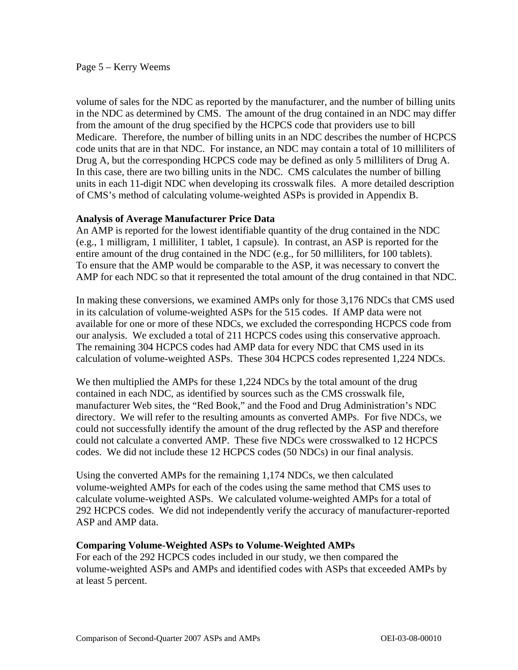#### Page 5 – Kerry Weems

volume of sales for the NDC as reported by the manufacturer, and the number of billing units in the NDC as determined by CMS. The amount of the drug contained in an NDC may differ from the amount of the drug specified by the HCPCS code that providers use to bill Medicare. Therefore, the number of billing units in an NDC describes the number of HCPCS code units that are in that NDC. For instance, an NDC may contain a total of 10 milliliters of Drug A, but the corresponding HCPCS code may be defined as only 5 milliliters of Drug A. In this case, there are two billing units in the NDC. CMS calculates the number of billing units in each 11-digit NDC when developing its crosswalk files. A more detailed description of CMS's method of calculating volume-weighted ASPs is provided in Appendix B.

#### **Analysis of Average Manufacturer Price Data**

An AMP is reported for the lowest identifiable quantity of the drug contained in the NDC (e.g., 1 milligram, 1 milliliter, 1 tablet, 1 capsule). In contrast, an ASP is reported for the entire amount of the drug contained in the NDC (e.g., for 50 milliliters, for 100 tablets). To ensure that the AMP would be comparable to the ASP, it was necessary to convert the AMP for each NDC so that it represented the total amount of the drug contained in that NDC.

In making these conversions, we examined AMPs only for those 3,176 NDCs that CMS used in its calculation of volume-weighted ASPs for the 515 codes. If AMP data were not available for one or more of these NDCs, we excluded the corresponding HCPCS code from our analysis. We excluded a total of 211 HCPCS codes using this conservative approach. The remaining 304 HCPCS codes had AMP data for every NDC that CMS used in its calculation of volume-weighted ASPs. These 304 HCPCS codes represented 1,224 NDCs.

We then multiplied the AMPs for these 1,224 NDCs by the total amount of the drug contained in each NDC, as identified by sources such as the CMS crosswalk file, manufacturer Web sites, the "Red Book," and the Food and Drug Administration's NDC directory. We will refer to the resulting amounts as converted AMPs. For five NDCs, we could not successfully identify the amount of the drug reflected by the ASP and therefore could not calculate a converted AMP. These five NDCs were crosswalked to 12 HCPCS codes. We did not include these 12 HCPCS codes (50 NDCs) in our final analysis.

Using the converted AMPs for the remaining 1,174 NDCs, we then calculated volume-weighted AMPs for each of the codes using the same method that CMS uses to calculate volume-weighted ASPs. We calculated volume-weighted AMPs for a total of 292 HCPCS codes. We did not independently verify the accuracy of manufacturer-reported ASP and AMP data.

#### **Comparing Volume-Weighted ASPs to Volume-Weighted AMPs**

For each of the 292 HCPCS codes included in our study, we then compared the volume-weighted ASPs and AMPs and identified codes with ASPs that exceeded AMPs by at least 5 percent.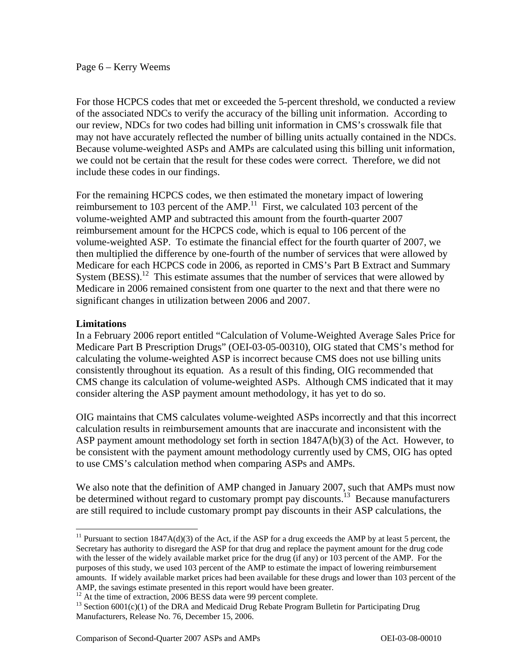#### Page 6 – Kerry Weems

For those HCPCS codes that met or exceeded the 5-percent threshold, we conducted a review of the associated NDCs to verify the accuracy of the billing unit information. According to our review, NDCs for two codes had billing unit information in CMS's crosswalk file that may not have accurately reflected the number of billing units actually contained in the NDCs. Because volume-weighted ASPs and AMPs are calculated using this billing unit information, we could not be certain that the result for these codes were correct. Therefore, we did not include these codes in our findings.

For the remaining HCPCS codes, we then estimated the monetary impact of lowering reimbursement to 103 percent of the AMP.<sup>11</sup> First, we calculated 103 percent of the volume-weighted AMP and subtracted this amount from the fourth-quarter 2007 reimbursement amount for the HCPCS code, which is equal to 106 percent of the volume-weighted ASP. To estimate the financial effect for the fourth quarter of 2007, we then multiplied the difference by one-fourth of the number of services that were allowed by Medicare for each HCPCS code in 2006, as reported in CMS's Part B Extract and Summary System  $(BESS)$ <sup>12</sup> This estimate assumes that the number of services that were allowed by Medicare in 2006 remained consistent from one quarter to the next and that there were no significant changes in utilization between 2006 and 2007.

#### **Limitations**

 $\overline{a}$ 

In a February 2006 report entitled "Calculation of Volume-Weighted Average Sales Price for Medicare Part B Prescription Drugs" (OEI-03-05-00310), OIG stated that CMS's method for calculating the volume-weighted ASP is incorrect because CMS does not use billing units consistently throughout its equation. As a result of this finding, OIG recommended that CMS change its calculation of volume-weighted ASPs. Although CMS indicated that it may consider altering the ASP payment amount methodology, it has yet to do so.

OIG maintains that CMS calculates volume-weighted ASPs incorrectly and that this incorrect calculation results in reimbursement amounts that are inaccurate and inconsistent with the ASP payment amount methodology set forth in section  $1847A(b)(3)$  of the Act. However, to be consistent with the payment amount methodology currently used by CMS, OIG has opted to use CMS's calculation method when comparing ASPs and AMPs.

We also note that the definition of AMP changed in January 2007, such that AMPs must now be determined without regard to customary prompt pay discounts.<sup>13</sup> Because manufacturers are still required to include customary prompt pay discounts in their ASP calculations, the

 purposes of this study, we used 103 percent of the AMP to estimate the impact of lowering reimbursement amounts. If widely available market prices had been available for these drugs and lower than 103 percent of the <sup>11</sup> Pursuant to section  $1847A(d)(3)$  of the Act, if the ASP for a drug exceeds the AMP by at least 5 percent, the Secretary has authority to disregard the ASP for that drug and replace the payment amount for the drug code with the lesser of the widely available market price for the drug (if any) or 103 percent of the AMP. For the AMP, the savings estimate presented in this report would have been greater.

 $12$  At the time of extraction, 2006 BESS data were 99 percent complete.

<sup>&</sup>lt;sup>13</sup> Section  $6001(c)(1)$  of the DRA and Medicaid Drug Rebate Program Bulletin for Participating Drug Manufacturers, Release No. 76, December 15, 2006.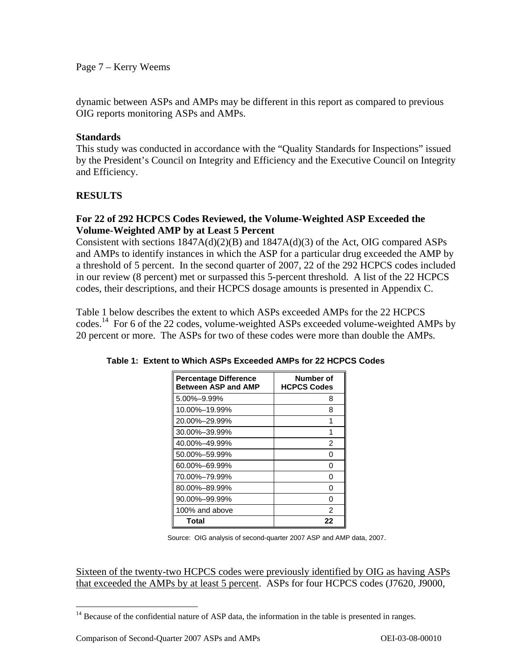Page 7 – Kerry Weems

dynamic between ASPs and AMPs may be different in this report as compared to previous OIG reports monitoring ASPs and AMPs.

### **Standards**

This study was conducted in accordance with the "Quality Standards for Inspections" issued by the President's Council on Integrity and Efficiency and the Executive Council on Integrity and Efficiency.

### **RESULTS**

### **For 22 of 292 HCPCS Codes Reviewed, the Volume-Weighted ASP Exceeded the Volume-Weighted AMP by at Least 5 Percent**

Consistent with sections 1847A(d)(2)(B) and 1847A(d)(3) of the Act, OIG compared ASPs and AMPs to identify instances in which the ASP for a particular drug exceeded the AMP by a threshold of 5 percent. In the second quarter of 2007, 22 of the 292 HCPCS codes included in our review (8 percent) met or surpassed this 5-percent threshold. A list of the 22 HCPCS codes, their descriptions, and their HCPCS dosage amounts is presented in Appendix C.

Table 1 below describes the extent to which ASPs exceeded AMPs for the 22 HCPCS codes.<sup>14</sup> For 6 of the 22 codes, volume-weighted ASPs exceeded volume-weighted AMPs by 20 percent or more. The ASPs for two of these codes were more than double the AMPs.

| <b>Percentage Difference</b><br><b>Between ASP and AMP</b> | Number of<br><b>HCPCS Codes</b> |
|------------------------------------------------------------|---------------------------------|
| 5.00%-9.99%                                                | 8                               |
| 10.00%-19.99%                                              | 8                               |
| 20.00%-29.99%                                              | 1                               |
| 30.00%-39.99%                                              | 1                               |
| 40.00%-49.99%                                              | 2                               |
| 50.00%-59.99%                                              | O                               |
| 60.00%-69.99%                                              | O                               |
| 70.00%-79.99%                                              | O                               |
| 80.00%-89.99%                                              | O                               |
| 90.00%-99.99%                                              | O                               |
| 100% and above                                             | 2                               |
| Total                                                      | 22                              |

**Table 1: Extent to Which ASPs Exceeded AMPs for 22 HCPCS Codes** 

Source: OIG analysis of second-quarter 2007 ASP and AMP data, 2007.

Sixteen of the twenty-two HCPCS codes were previously identified by OIG as having ASPs that exceeded the AMPs by at least 5 percent. ASPs for four HCPCS codes (J7620, J9000,

 $\overline{a}$ <sup>14</sup> Because of the confidential nature of ASP data, the information in the table is presented in ranges.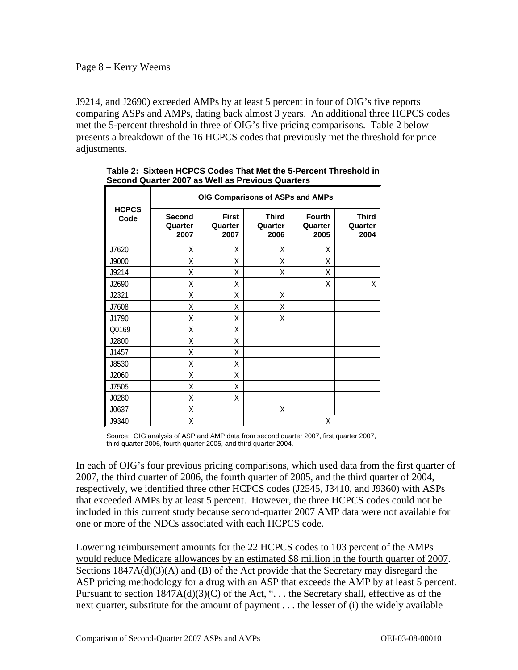#### Page 8 – Kerry Weems

J9214, and J2690) exceeded AMPs by at least 5 percent in four of OIG's five reports comparing ASPs and AMPs, dating back almost 3 years. An additional three HCPCS codes met the 5-percent threshold in three of OIG's five pricing comparisons. Table 2 below presents a breakdown of the 16 HCPCS codes that previously met the threshold for price adjustments.

|                      | OIG Comparisons of ASPs and AMPs |                                 |                                 |                                  |                                 |
|----------------------|----------------------------------|---------------------------------|---------------------------------|----------------------------------|---------------------------------|
| <b>HCPCS</b><br>Code | <b>Second</b><br>Quarter<br>2007 | <b>First</b><br>Quarter<br>2007 | <b>Third</b><br>Quarter<br>2006 | <b>Fourth</b><br>Quarter<br>2005 | <b>Third</b><br>Quarter<br>2004 |
| J7620                | X                                | X                               | Χ                               | X                                |                                 |
| J9000                | χ                                | χ                               | Χ                               | Χ                                |                                 |
| J9214                | Χ                                | χ                               | Χ                               | χ                                |                                 |
| J2690                | χ                                | Χ                               |                                 | Χ                                | Χ                               |
| J2321                | χ                                | χ                               | Χ                               |                                  |                                 |
| J7608                | χ                                | Χ                               | χ                               |                                  |                                 |
| J1790                | χ                                | Χ                               | Χ                               |                                  |                                 |
| Q0169                | X                                | χ                               |                                 |                                  |                                 |
| J2800                | χ                                | Χ                               |                                 |                                  |                                 |
| J1457                | X                                | X                               |                                 |                                  |                                 |
| J8530                | χ                                | Χ                               |                                 |                                  |                                 |
| J2060                | Χ                                | Χ                               |                                 |                                  |                                 |
| J7505                | χ                                | X                               |                                 |                                  |                                 |
| J0280                | χ                                | χ                               |                                 |                                  |                                 |
| J0637                | Χ                                |                                 | χ                               |                                  |                                 |
| J9340                | Χ                                |                                 |                                 | Χ                                |                                 |

**Table 2: Sixteen HCPCS Codes That Met the 5-Percent Threshold in Second Quarter 2007 as Well as Previous Quarters**

Source: OIG analysis of ASP and AMP data from second quarter 2007, first quarter 2007, third quarter 2006, fourth quarter 2005, and third quarter 2004.

In each of OIG's four previous pricing comparisons, which used data from the first quarter of 2007, the third quarter of 2006, the fourth quarter of 2005, and the third quarter of 2004, respectively, we identified three other HCPCS codes (J2545, J3410, and J9360) with ASPs that exceeded AMPs by at least 5 percent. However, the three HCPCS codes could not be included in this current study because second-quarter 2007 AMP data were not available for one or more of the NDCs associated with each HCPCS code.

Lowering reimbursement amounts for the 22 HCPCS codes to 103 percent of the AMPs would reduce Medicare allowances by an estimated \$8 million in the fourth quarter of 2007. Sections 1847A(d)(3)(A) and (B) of the Act provide that the Secretary may disregard the ASP pricing methodology for a drug with an ASP that exceeds the AMP by at least 5 percent. Pursuant to section  $1847A(d)(3)(C)$  of the Act, "... the Secretary shall, effective as of the next quarter, substitute for the amount of payment . . . the lesser of (i) the widely available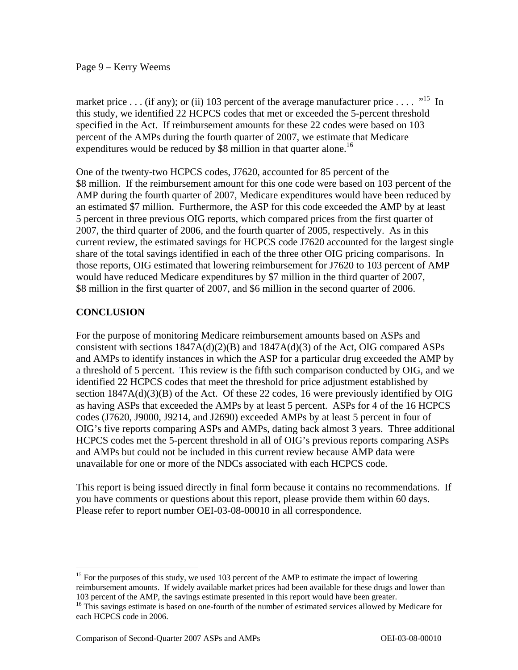#### Page 9 – Kerry Weems

expenditures would be reduced by \$8 million in that quarter alone.<sup>16</sup> market price ... (if any); or (ii) 103 percent of the average manufacturer price ....  $\cdot$ <sup>15</sup> In this study, we identified 22 HCPCS codes that met or exceeded the 5-percent threshold specified in the Act. If reimbursement amounts for these 22 codes were based on 103 percent of the AMPs during the fourth quarter of 2007, we estimate that Medicare

would have reduced Medicare expenditures by \$7 million in the third quarter of 2007, One of the twenty-two HCPCS codes, J7620, accounted for 85 percent of the \$8 million. If the reimbursement amount for this one code were based on 103 percent of the AMP during the fourth quarter of 2007, Medicare expenditures would have been reduced by an estimated \$7 million. Furthermore, the ASP for this code exceeded the AMP by at least 5 percent in three previous OIG reports, which compared prices from the first quarter of 2007, the third quarter of 2006, and the fourth quarter of 2005, respectively. As in this current review, the estimated savings for HCPCS code J7620 accounted for the largest single share of the total savings identified in each of the three other OIG pricing comparisons. In those reports, OIG estimated that lowering reimbursement for J7620 to 103 percent of AMP \$8 million in the first quarter of 2007, and \$6 million in the second quarter of 2006.

### **CONCLUSION**

 $\overline{a}$ 

For the purpose of monitoring Medicare reimbursement amounts based on ASPs and consistent with sections  $1847A(d)(2)(B)$  and  $1847A(d)(3)$  of the Act, OIG compared ASPs and AMPs to identify instances in which the ASP for a particular drug exceeded the AMP by a threshold of 5 percent. This review is the fifth such comparison conducted by OIG, and we identified 22 HCPCS codes that meet the threshold for price adjustment established by section  $1847A(d)(3)(B)$  of the Act. Of these 22 codes, 16 were previously identified by OIG as having ASPs that exceeded the AMPs by at least 5 percent. ASPs for 4 of the 16 HCPCS codes (J7620, J9000, J9214, and J2690) exceeded AMPs by at least 5 percent in four of OIG's five reports comparing ASPs and AMPs, dating back almost 3 years. Three additional HCPCS codes met the 5-percent threshold in all of OIG's previous reports comparing ASPs and AMPs but could not be included in this current review because AMP data were unavailable for one or more of the NDCs associated with each HCPCS code.

This report is being issued directly in final form because it contains no recommendations. If you have comments or questions about this report, please provide them within 60 days. Please refer to report number OEI-03-08-00010 in all correspondence.

 103 percent of the AMP, the savings estimate presented in this report would have been greater. <sup>15</sup> For the purposes of this study, we used 103 percent of the AMP to estimate the impact of lowering reimbursement amounts. If widely available market prices had been available for these drugs and lower than

<sup>&</sup>lt;sup>16</sup> This savings estimate is based on one-fourth of the number of estimated services allowed by Medicare for each HCPCS code in 2006.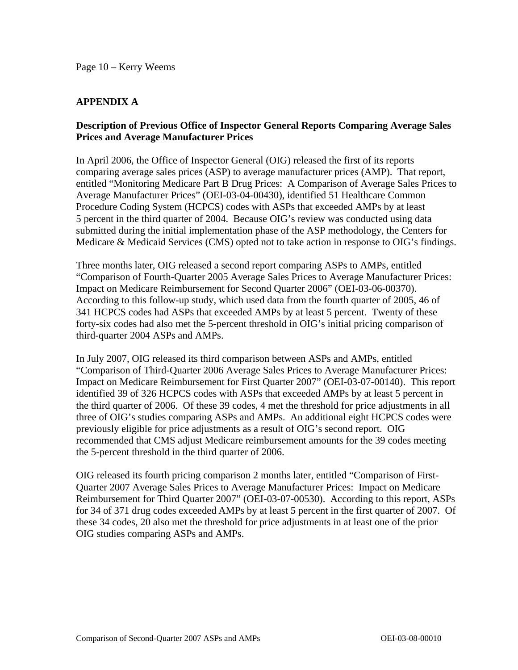### **APPENDIX A**

### **Description of Previous Office of Inspector General Reports Comparing Average Sales Prices and Average Manufacturer Prices**

In April 2006, the Office of Inspector General (OIG) released the first of its reports comparing average sales prices (ASP) to average manufacturer prices (AMP). That report, entitled "Monitoring Medicare Part B Drug Prices: A Comparison of Average Sales Prices to Average Manufacturer Prices" (OEI-03-04-00430), identified 51 Healthcare Common Procedure Coding System (HCPCS) codes with ASPs that exceeded AMPs by at least 5 percent in the third quarter of 2004. Because OIG's review was conducted using data submitted during the initial implementation phase of the ASP methodology, the Centers for Medicare & Medicaid Services (CMS) opted not to take action in response to OIG's findings.

Three months later, OIG released a second report comparing ASPs to AMPs, entitled "Comparison of Fourth-Quarter 2005 Average Sales Prices to Average Manufacturer Prices: Impact on Medicare Reimbursement for Second Quarter 2006" (OEI-03-06-00370). According to this follow-up study, which used data from the fourth quarter of 2005, 46 of 341 HCPCS codes had ASPs that exceeded AMPs by at least 5 percent. Twenty of these forty-six codes had also met the 5-percent threshold in OIG's initial pricing comparison of third-quarter 2004 ASPs and AMPs.

In July 2007, OIG released its third comparison between ASPs and AMPs, entitled "Comparison of Third-Quarter 2006 Average Sales Prices to Average Manufacturer Prices: Impact on Medicare Reimbursement for First Quarter 2007" (OEI-03-07-00140). This report identified 39 of 326 HCPCS codes with ASPs that exceeded AMPs by at least 5 percent in the third quarter of 2006. Of these 39 codes, 4 met the threshold for price adjustments in all three of OIG's studies comparing ASPs and AMPs. An additional eight HCPCS codes were previously eligible for price adjustments as a result of OIG's second report. OIG recommended that CMS adjust Medicare reimbursement amounts for the 39 codes meeting the 5-percent threshold in the third quarter of 2006.

OIG released its fourth pricing comparison 2 months later, entitled "Comparison of First-Quarter 2007 Average Sales Prices to Average Manufacturer Prices: Impact on Medicare Reimbursement for Third Quarter 2007" (OEI-03-07-00530). According to this report, ASPs for 34 of 371 drug codes exceeded AMPs by at least 5 percent in the first quarter of 2007. Of these 34 codes, 20 also met the threshold for price adjustments in at least one of the prior OIG studies comparing ASPs and AMPs.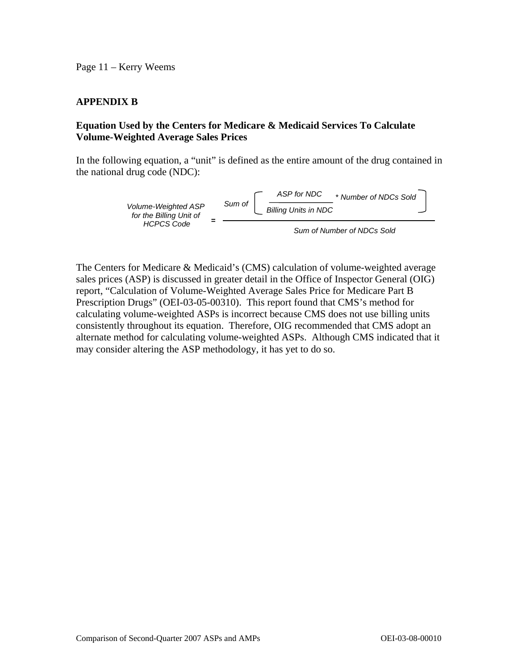Page 11 – Kerry Weems

### **APPENDIX B**

### **Equation Used by the Centers for Medicare & Medicaid Services To Calculate Volume-Weighted Average Sales Prices**

In the following equation, a "unit" is defined as the entire amount of the drug contained in the national drug code (NDC):



The Centers for Medicare & Medicaid's (CMS) calculation of volume-weighted average sales prices (ASP) is discussed in greater detail in the Office of Inspector General (OIG) report, "Calculation of Volume-Weighted Average Sales Price for Medicare Part B Prescription Drugs" (OEI-03-05-00310). This report found that CMS's method for calculating volume-weighted ASPs is incorrect because CMS does not use billing units consistently throughout its equation. Therefore, OIG recommended that CMS adopt an alternate method for calculating volume-weighted ASPs. Although CMS indicated that it may consider altering the ASP methodology, it has yet to do so.